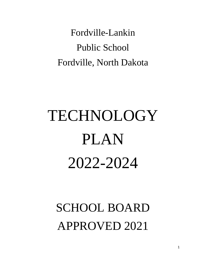Fordville-Lankin Public School Fordville, North Dakota

# TECHNOLOGY PLAN 2022-2024

# SCHOOL BOARD APPROVED 2021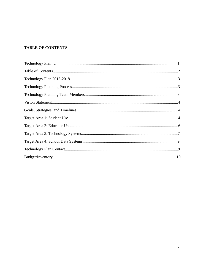# **TABLE OF CONTENTS**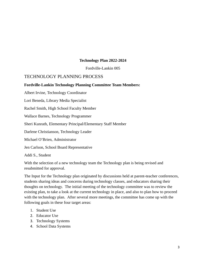#### **Technology Plan 2022-2024**

Fordville-Lankin 005

# TECHNOLOGY PLANNING PROCESS

#### **Fordville-Lankin Technology Planning Committee Team Members:**

Albert Irvine, Technology Coordinator

Lori Beneda, Library Media Specialist

Rachel Smith, High School Faculty Member

Wallace Barnes, Technology Programmer

Sheri Kunrath, Elementary Principal/Elementary Staff Member

Darlene Christianson, Technology Leader

Michael O'Brien, Administrator

Jen Carlson, School Board Representative

Addi S., Student

With the selection of a new technology team the Technology plan is being revised and resubmitted for approval.

The Input for the Technology plan originated by discussions held at parent-teacher conferences, students sharing ideas and concerns during technology classes, and educators sharing their thoughts on technology. The initial meeting of the technology committee was to review the existing plan, to take a look at the current technology in place, and also to plan how to proceed with the technology plan. After several more meetings, the committee has come up with the following goals in these four target areas:

- 1. Student Use
- 2. Educator Use
- 3. Technology Systems
- 4. School Data Systems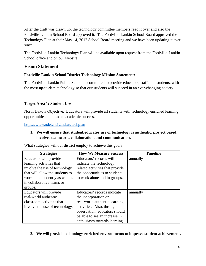After the draft was drawn up, the technology committee members read it over and also the Fordville-Lankin School Board approved it. The Fordville-Lankin School Board approved the Technology Plan at their May 14, 2012 School Board meeting and we have been updating it ever since.

The Fordville-Lankin Technology Plan will be available upon request from the Fordville-Lankin School office and on our website.

# **Vision Statement**

# **Fordville-Lankin School District Technology Mission Statement:**

The Fordville-Lankin Public School is committed to provide educators, staff, and students, with the most up-to-date technology so that our students will succeed in an ever-changing society.

# **Target Area 1: Student Use**

North Dakota Objective: Educators will provide all students with technology enriched learning opportunities that lead to academic success.

<https://www.ndetc.k12.nd.us/techplan>

# **1. We will ensure that student/educator use of technology is authentic, project based, involves teamwork, collaboration, and communication.**

What strategies will our district employ to achieve this goal?

| <b>Strategies</b>               | <b>How We Measure Success</b>   | <b>Timeline</b> |
|---------------------------------|---------------------------------|-----------------|
| Educators will provide          | Educators' records will         | annually        |
| learning activities that        | indicate the technology         |                 |
| involve the use of technology   | related activities that provide |                 |
| that will allow the students to | the opportunities to students   |                 |
| work independently as well as   | to work alone and in groups.    |                 |
| in collaborative teams or       |                                 |                 |
| groups.                         |                                 |                 |
| Educators will provide          | Educators' records indicate     | annually        |
| real-world authentic            | the incorporation or            |                 |
| classroom activities that       | real-world authentic learning   |                 |
| involve the use of technology.  | activities. Also, through       |                 |
|                                 | observation, educators should   |                 |
|                                 | be able to see an increase in   |                 |
|                                 | enthusiasm towards learning.    |                 |

#### **2. We will provide technology-enriched environments to improve student achievement.**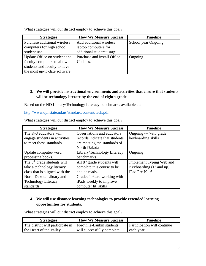| <b>Strategies</b>             | <b>How We Measure Success</b> | <b>Timeline</b>            |
|-------------------------------|-------------------------------|----------------------------|
| Purchase additional wireless  | Add additional wireless       | <b>School year Ongoing</b> |
| computers for high school     | laptop computers for          |                            |
| student use.                  | additional student usage.     |                            |
| Update Office on student and  | Purchase and install Office   | Ongoing                    |
| faculty computers to allow    | Updates.                      |                            |
| students and faculty to have  |                               |                            |
| the most up-to-date software. |                               |                            |

What strategies will our district employ to achieve this goal?

# **3. We will provide instructional environments and activities that ensure that students will be technology literate by the end of eighth grade.**

Based on the ND Library/Technology Literacy benchmarks available at:

<http://www.dpi.state.nd.us/standard/content/tech.pdf>

| <b>Strategies</b>              | <b>How We Measure Success</b>  | <b>Timeline</b>            |
|--------------------------------|--------------------------------|----------------------------|
| The K-8 educators will         | Observations and educators'    | Ongoing --- 7&8 grade      |
| engage students in activities  | records indicate that students | keyboarding skills         |
| to meet these standards.       | are meeting the standards of   |                            |
|                                | North Dakota                   |                            |
| Update computer/word           | Library/Technology Literacy    | Ongoing                    |
| processing books.              | benchmarks                     |                            |
| The $8th$ grade students will  | All $8th$ grade students will  | Implement Typing Web and   |
| take a technology literacy     | complete this course to be     | Keyboarding $(1st$ and up) |
| class that is aligned with the | choice ready.                  | $i$ Pad Pre-K - 6          |
| North Dakota Library and       | Grades 1-6 are working with    |                            |
| <b>Technology Literacy</b>     | iPads weekly to improve        |                            |
| standards                      | computer lit. skills           |                            |

What strategies will our district employ to achieve this goal?

# **4. We will use distance learning technologies to provide extended learning opportunities for students.**

What strategies will our district employ to achieve this goal?

| <b>Strategies</b>                | <b>How We Measure Success</b> | Timeline                    |
|----------------------------------|-------------------------------|-----------------------------|
| The district will participate in | Fordville-Lankin students     | Participation will continue |
| the Heart of the Valley          | will successfully complete    | each year.                  |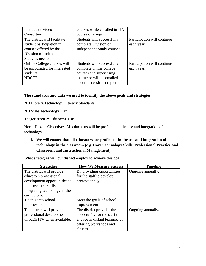| <b>Interactive Video</b>     | courses while enrolled in ITV |                             |
|------------------------------|-------------------------------|-----------------------------|
| Consortium.                  | course offerings.             |                             |
| The district will facilitate | Students will successfully    | Participation will continue |
| student participation in     | complete Division of          | each year.                  |
| courses offered by the       | Independent Study courses.    |                             |
| Division of Independent      |                               |                             |
| Study as needed.             |                               |                             |
| Online College courses will  | Students will successfully    | Participation will continue |
| be encouraged for interested | complete online college       | each year.                  |
| students.                    | courses and supervising       |                             |
| <b>NDCTE</b>                 | instructor will be emailed    |                             |
|                              | upon successful completion.   |                             |

# **The standards and data we used to identify the above goals and strategies.**

ND Library/Technology Literacy Standards

ND State Technology Plan

#### **Target Area 2: Educator Use**

North Dakota Objective: All educators will be proficient in the use and integration of technology.

# **1. We will ensure that all educators are proficient in the use and integration of technology in the classroom (e.g. Core Technology Skills, Professional Practice and Classroom and Instructional Management).**

What strategies will our district employ to achieve this goal?

| <b>Strategies</b>             | <b>How We Measure Success</b> | <b>Timeline</b>   |
|-------------------------------|-------------------------------|-------------------|
| The district will provide     | By providing opportunities    | Ongoing annually. |
| educators professional        | for the staff to develop      |                   |
| development opportunities to  | professionally.               |                   |
| improve their skills in       |                               |                   |
| integrating technology in the |                               |                   |
| curriculum.                   |                               |                   |
| Tie this into school          | Meet the goals of school      |                   |
| improvement.                  | improvement.                  |                   |
| The district will provide     | The district provides the     | Ongoing annually. |
| professional development      | opportunity for the staff to  |                   |
| through ITV when available.   | engage in distant learning by |                   |
|                               | offering workshops and        |                   |
|                               | classes.                      |                   |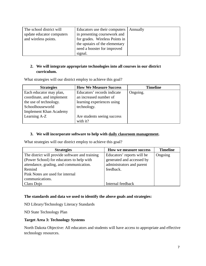| The school district will  | Educators use their computers   Annually |  |
|---------------------------|------------------------------------------|--|
| update educator computers | in presenting coursework and             |  |
| and wireless points.      | for grades. Wireless Points in           |  |
|                           | the upstairs of the elementary           |  |
|                           | need a booster for improved              |  |
|                           | signal.                                  |  |

# **2. We will integrate appropriate technologies into all courses in our district curriculum.**

What strategies will our district employ to achieve this goal?

| <b>Strategies</b>             | <b>How We Measure Success</b> | <b>Timeline</b> |
|-------------------------------|-------------------------------|-----------------|
| Each educator may plan,       | Educators' records indicate   | Ongoing.        |
| coordinate, and implement     | an increased number of        |                 |
| the use of technology.        | learning experiences using    |                 |
| Schoolhouseworld              | technology.                   |                 |
| <b>Implement Khan Academy</b> |                               |                 |
| Learning A-Z                  | Are students seeing success   |                 |
|                               | with it?                      |                 |

# **3. We will incorporate software to help with daily classroom management.**

What strategies will our district employ to achieve this goal?

| <b>Strategies</b>                               | How we measure success     | <b>Timeline</b> |
|-------------------------------------------------|----------------------------|-----------------|
| The district will provide software and training | Educators' reports will be | Ongoing         |
| (Power School) for educators to help with       | generated and accessed by  |                 |
| attendance, grading, and communication.         | administrators and parent  |                 |
| Remind                                          | feedback.                  |                 |
| Pink Notes are used for internal                |                            |                 |
| communications.                                 |                            |                 |
| Class Dojo                                      | Internal feedback          |                 |

# **The standards and data we used to identify the above goals and strategies:**

ND Library/Technology Literacy Standards

ND State Technology Plan

#### **Target Area 3: Technology Systems**

North Dakota Objective: All educators and students will have access to appropriate and effective technology resources.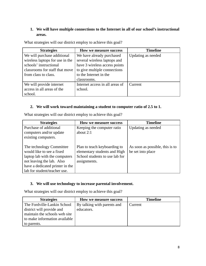# **1. We will have multiple connections to the Internet in all of our school's instructional areas.**

| <b>Strategies</b>               | How we measure success          | <b>Timeline</b>    |
|---------------------------------|---------------------------------|--------------------|
| We will purchase additional     | We have already purchased       | Updating as needed |
| wireless laptops for use in the | several wireless laptops and    |                    |
| schools' instructional          | have 3 wireless access points   |                    |
| classrooms for staff that move  | to give multiple connections    |                    |
| from class to class.            | to the Internet in the          |                    |
|                                 | classrooms.                     |                    |
| We will provide internet        | Internet access in all areas of | Current            |
| access in all areas of the      | school.                         |                    |
| school.                         |                                 |                    |

What strategies will our district employ to achieve this goal?

#### **2. We will work toward maintaining a student to computer ratio of 2.5 to 1.**

| What strategies will our district employ to achieve this goal? |  |  |
|----------------------------------------------------------------|--|--|
|                                                                |  |  |

| <b>Strategies</b>               | How we measure success         | <b>Timeline</b>                 |
|---------------------------------|--------------------------------|---------------------------------|
| Purchase of additional          | Keeping the computer ratio     | Updating as needed              |
| computers and/or update         | about 2:1                      |                                 |
| existing computers.             |                                |                                 |
|                                 |                                |                                 |
| The technology Committee        | Plan to teach keyboarding to   | As soon as possible, this is to |
| would like to see a fixed       | elementary students and High   | be set into place               |
| laptop lab with the computers   | School students to use lab for |                                 |
| not leaving the lab. Also       | assignments.                   |                                 |
| have a dedicated printer in the |                                |                                 |
| lab for student/teacher use.    |                                |                                 |

# **3. We will use technology to increase parental involvement.**

What strategies will our district employ to achieve this goal?

| <b>Strategies</b>             | How we measure success      | <b>Timeline</b> |
|-------------------------------|-----------------------------|-----------------|
| The Fordville-Lankin School   | By talking with parents and | Current         |
| district will provide and     | educators.                  |                 |
| maintain the schools web site |                             |                 |
| to make information available |                             |                 |
| to parents.                   |                             |                 |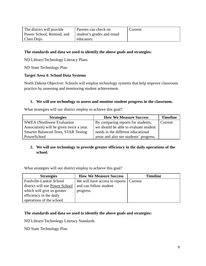| The district will provide | Parents can check on       | Current |
|---------------------------|----------------------------|---------|
| Power School, Remind, and | student's grades and email |         |
| Class Dojo.               | educators.                 |         |

#### **The standards and data we used to identify the above goals and strategies:**

ND Library/Technology Literacy Plans

ND State Technology Plan

#### **Target Area 4: School Data Systems**

North Dakota Objective: Schools will employ technology systems that help improve classroom practice by assessing and monitoring student achievement.

#### **1. We will use technology to assess and monitor student progress in the classroom.**

What strategies will our district employ to achieve this goal?

| <b>Strategies</b>                           | <b>How We Measure Success</b>          | <b>Timeline</b> |
|---------------------------------------------|----------------------------------------|-----------------|
| <b>NWEA</b> (Northwest Evaluation           | By comparing reports for students,     | Current         |
| Association) will be given twice a year.    | we should be able to evaluate student  |                 |
| <b>Smarter Balanced Tests, STAR Testing</b> | needs in the different educational     |                 |
| PowerSchool                                 | areas and also see students' progress. |                 |

# **2. We will use technology to provide greater efficiency in the daily operations of the school.**

What strategies will our district employ to achieve this goal?

| <b>Strategies</b>              | <b>How We Measure Success</b>  | <b>Timeline</b> |
|--------------------------------|--------------------------------|-----------------|
| Fordville-Lankin School        | We will have access to reports | Current         |
| district will use Power School | and can follow student         |                 |
| which will give us greater     | progress.                      |                 |
| efficiency in the daily        |                                |                 |
| operations of the school.      |                                |                 |

#### **The standards and data we used to identify the above goals and strategies:**

ND Library/Technology Literacy Standards

ND State Technology Plan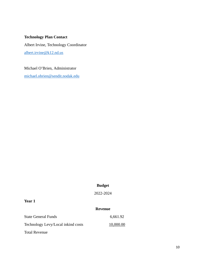## **Technology Plan Contact**

Albert Irvine, Technology Coordinator [albert.irvine@k12.nd.us](mailto:albert.irvine@k12.nd.us)

Michael O'Brien, Administrator

[michael.obrien@sendit.nodak.edu](mailto:michael.obrien@sendit.nodak.edu)

# **Budget**

2022-2024

# **Year 1**

#### **Revenue**

| <b>State General Funds</b>         | 6,661.92  |
|------------------------------------|-----------|
| Technology Levy/Local inkind costs | 10,000.00 |
| <b>Total Revenue</b>               |           |